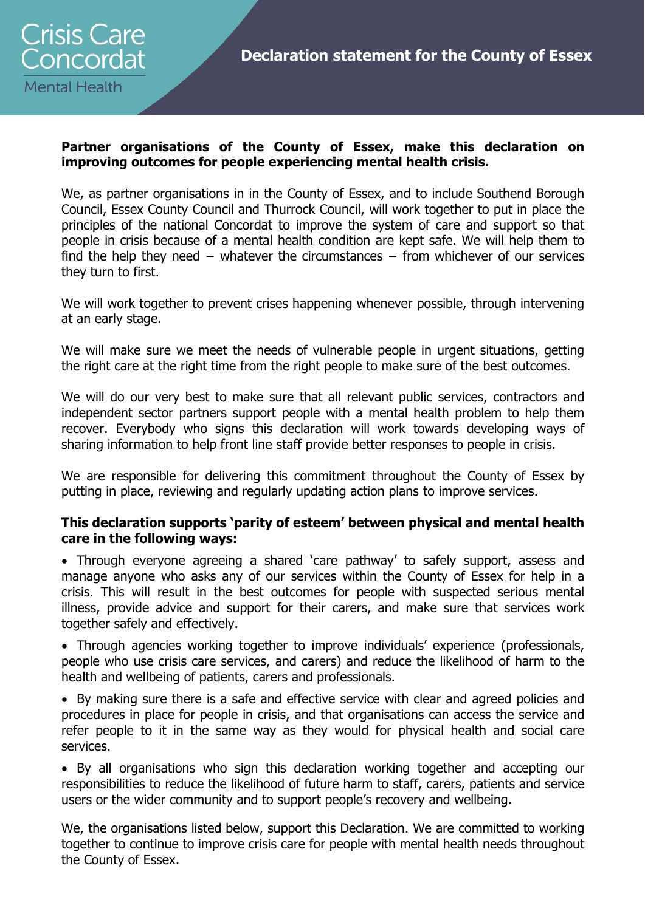

### **Partner organisations of the County of Essex, make this declaration on improving outcomes for people experiencing mental health crisis.**

We, as partner organisations in in the County of Essex, and to include Southend Borough Council, Essex County Council and Thurrock Council, will work together to put in place the principles of the national Concordat to improve the system of care and support so that people in crisis because of a mental health condition are kept safe. We will help them to find the help they need − whatever the circumstances − from whichever of our services they turn to first.

We will work together to prevent crises happening whenever possible, through intervening at an early stage.

We will make sure we meet the needs of vulnerable people in urgent situations, getting the right care at the right time from the right people to make sure of the best outcomes.

We will do our very best to make sure that all relevant public services, contractors and independent sector partners support people with a mental health problem to help them recover. Everybody who signs this declaration will work towards developing ways of sharing information to help front line staff provide better responses to people in crisis.

We are responsible for delivering this commitment throughout the County of Essex by putting in place, reviewing and regularly updating action plans to improve services.

#### **This declaration supports 'parity of esteem' between physical and mental health care in the following ways:**

 Through everyone agreeing a shared 'care pathway' to safely support, assess and manage anyone who asks any of our services within the County of Essex for help in a crisis. This will result in the best outcomes for people with suspected serious mental illness, provide advice and support for their carers, and make sure that services work together safely and effectively.

• Through agencies working together to improve individuals' experience (professionals, people who use crisis care services, and carers) and reduce the likelihood of harm to the health and wellbeing of patients, carers and professionals.

 By making sure there is a safe and effective service with clear and agreed policies and procedures in place for people in crisis, and that organisations can access the service and refer people to it in the same way as they would for physical health and social care services.

 By all organisations who sign this declaration working together and accepting our responsibilities to reduce the likelihood of future harm to staff, carers, patients and service users or the wider community and to support people's recovery and wellbeing.

We, the organisations listed below, support this Declaration. We are committed to working together to continue to improve crisis care for people with mental health needs throughout the County of Essex.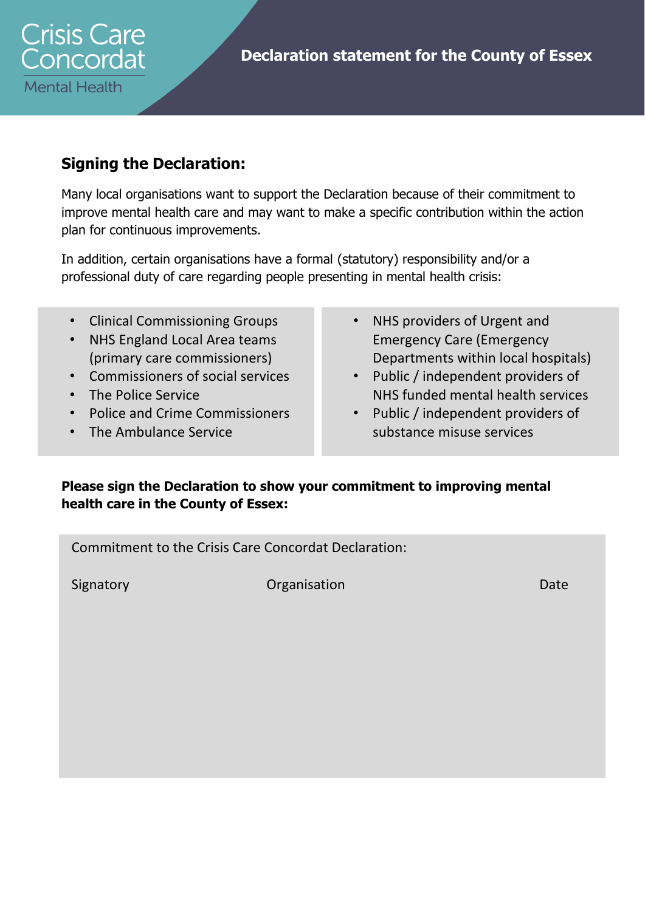

## **Signing the Declaration:**

Many local organisations want to support the Declaration because of their commitment to improve mental health care and may want to make a specific contribution within the action plan for continuous improvements.

In addition, certain organisations have a formal (statutory) responsibility and/or a professional duty of care regarding people presenting in mental health crisis:

- Clinical Commissioning Groups
- NHS England Local Area teams (primary care commissioners)
- Commissioners of social services
- The Police Service
- Police and Crime Commissioners
- The Ambulance Service
- NHS providers of Urgent and Emergency Care (Emergency Departments within local hospitals)
- Public / independent providers of NHS funded mental health services
- Public / independent providers of substance misuse services

### **Please sign the Declaration to show your commitment to improving mental health care in the County of Essex:**

Commitment to the Crisis Care Concordat Declaration:

Signatory **Date Organisation Date Date**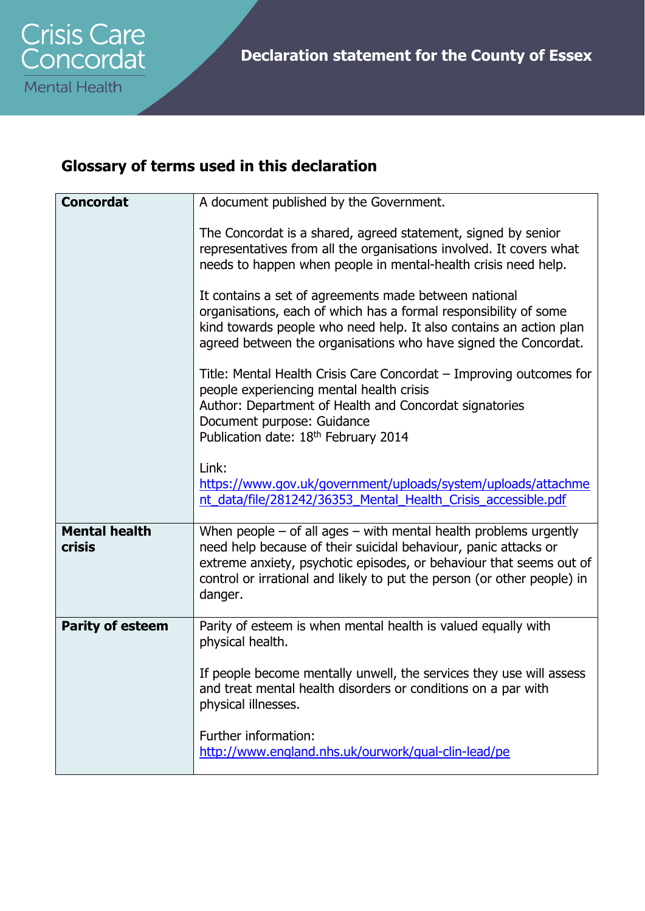# **Glossary of terms used in this declaration**

| <b>Concordat</b>                      | A document published by the Government.                                                                                                                                                                                                                                                              |
|---------------------------------------|------------------------------------------------------------------------------------------------------------------------------------------------------------------------------------------------------------------------------------------------------------------------------------------------------|
|                                       | The Concordat is a shared, agreed statement, signed by senior<br>representatives from all the organisations involved. It covers what<br>needs to happen when people in mental-health crisis need help.                                                                                               |
|                                       | It contains a set of agreements made between national<br>organisations, each of which has a formal responsibility of some<br>kind towards people who need help. It also contains an action plan<br>agreed between the organisations who have signed the Concordat.                                   |
|                                       | Title: Mental Health Crisis Care Concordat – Improving outcomes for<br>people experiencing mental health crisis<br>Author: Department of Health and Concordat signatories<br>Document purpose: Guidance<br>Publication date: 18th February 2014                                                      |
|                                       | Link:<br>https://www.gov.uk/government/uploads/system/uploads/attachme<br>nt_data/file/281242/36353_Mental_Health_Crisis_accessible.pdf                                                                                                                                                              |
| <b>Mental health</b><br><b>crisis</b> | When people $-$ of all ages $-$ with mental health problems urgently<br>need help because of their suicidal behaviour, panic attacks or<br>extreme anxiety, psychotic episodes, or behaviour that seems out of<br>control or irrational and likely to put the person (or other people) in<br>danger. |
| <b>Parity of esteem</b>               | Parity of esteem is when mental health is valued equally with<br>physical health.                                                                                                                                                                                                                    |
|                                       | If people become mentally unwell, the services they use will assess<br>and treat mental health disorders or conditions on a par with<br>physical illnesses.                                                                                                                                          |
|                                       | Further information:<br>http://www.england.nhs.uk/ourwork/qual-clin-lead/pe                                                                                                                                                                                                                          |